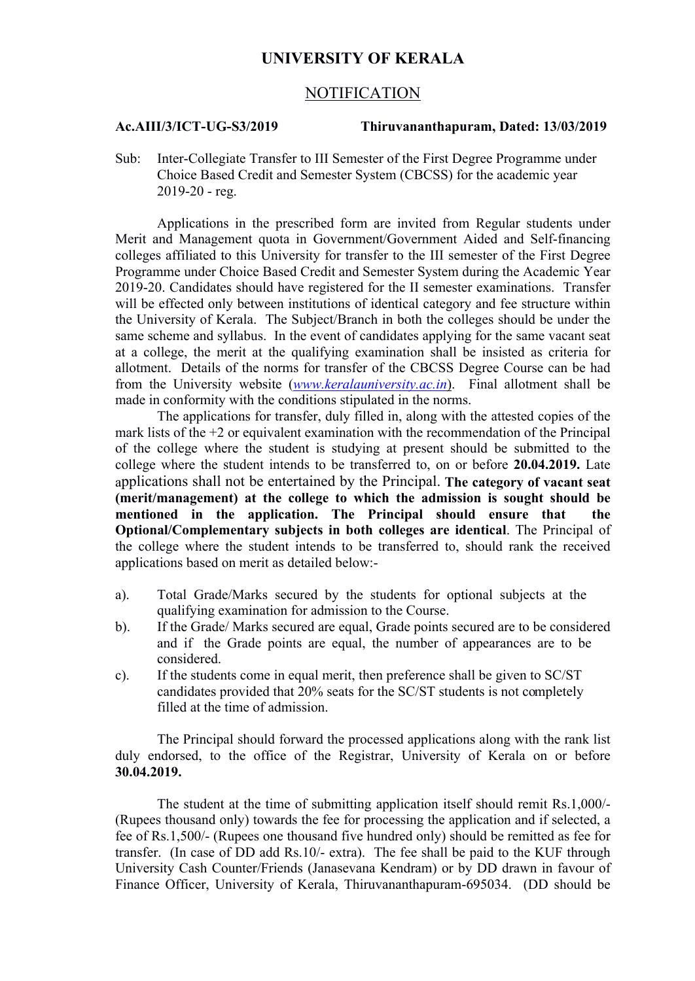# **UNIVERSITY OF KERALA**

## NOTIFICATION

### **Ac.AIII/3/ICT-UG-S3/2019 Thiruvananthapuram, Dated: 13/03/2019**

Sub: Inter-Collegiate Transfer to III Semester of the First Degree Programme under Choice Based Credit and Semester System (CBCSS) for the academic year 2019-20 - reg.

Applications in the prescribed form are invited from Regular students under Merit and Management quota in Government/Government Aided and Self-financing colleges affiliated to this University for transfer to the III semester of the First Degree Programme under Choice Based Credit and Semester System during the Academic Year 2019-20. Candidates should have registered for the II semester examinations. Transfer will be effected only between institutions of identical category and fee structure within the University of Kerala. The Subject/Branch in both the colleges should be under the same scheme and syllabus. In the event of candidates applying for the same vacant seat at a college, the merit at the qualifying examination shall be insisted as criteria for allotment. Details of the norms for transfer of the CBCSS Degree Course can be had from the University website (*www.keralauniversity.ac.in*). Final allotment shall be made in conformity with the conditions stipulated in the norms.

The applications for transfer, duly filled in, along with the attested copies of the mark lists of the +2 or equivalent examination with the recommendation of the Principal of the college where the student is studying at present should be submitted to the college where the student intends to be transferred to, on or before **20.04.2019.** Late applications shall not be entertained by the Principal. **The category of vacant seat (merit/management) at the college to which the admission is sought should be mentioned in the application. The Principal should ensure that the Optional/Complementary subjects in both colleges are identical**. The Principal of the college where the student intends to be transferred to, should rank the received applications based on merit as detailed below:-

- a). Total Grade/Marks secured by the students for optional subjects at the qualifying examination for admission to the Course.
- b). If the Grade/ Marks secured are equal, Grade points secured are to be considered and if the Grade points are equal, the number of appearances are to be considered.
- c). If the students come in equal merit, then preference shall be given to SC/ST candidates provided that 20% seats for the SC/ST students is not completely filled at the time of admission.

The Principal should forward the processed applications along with the rank list duly endorsed, to the office of the Registrar, University of Kerala on or before **30.04.2019.** 

The student at the time of submitting application itself should remit Rs.1,000/- (Rupees thousand only) towards the fee for processing the application and if selected, a fee of Rs.1,500/- (Rupees one thousand five hundred only) should be remitted as fee for transfer. (In case of DD add Rs.10/- extra). The fee shall be paid to the KUF through University Cash Counter/Friends (Janasevana Kendram) or by DD drawn in favour of Finance Officer, University of Kerala, Thiruvananthapuram-695034. (DD should be